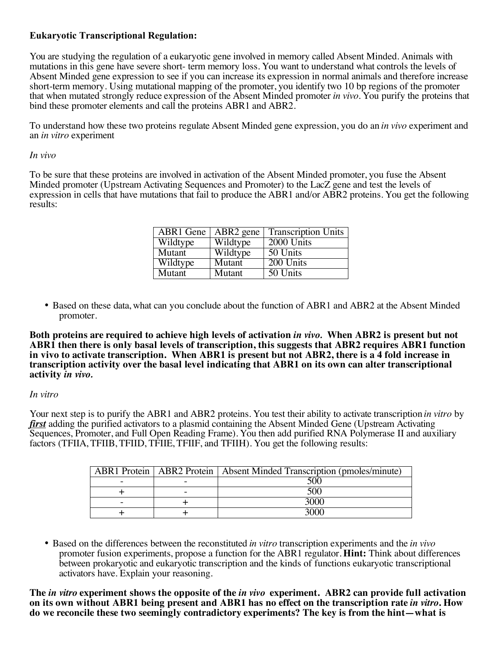## **Eukaryotic Transcriptional Regulation:**

You are studying the regulation of a eukaryotic gene involved in memory called Absent Minded. Animals with mutations in this gene have severe short- term memory loss. You want to understand what controls the levels of Absent Minded gene expression to see if you can increase its expression in normal animals and therefore increase short-term memory. Using mutational mapping of the promoter, you identify two 10 bp regions of the promoter that when mutated strongly reduce expression of the Absent Minded promoter *in vivo*. You purify the proteins that bind these promoter elements and call the proteins ABR1 and ABR2.

To understand how these two proteins regulate Absent Minded gene expression, you do an *in vivo* experiment and an *in vitro* experiment

## *In vivo*

To be sure that these proteins are involved in activation of the Absent Minded promoter, you fuse the Absent Minded promoter (Upstream Activating Sequences and Promoter) to the LacZ gene and test the levels of expression in cells that have mutations that fail to produce the ABR1 and/or ABR2 proteins. You get the following results:

| ABR1 Gene     | ABR2 gene | <b>Transcription Units</b> |
|---------------|-----------|----------------------------|
| Wildtype      | Wildtype  | 2000 Units                 |
| Mutant        | Wildtype  | 50 Units                   |
| Wildtype      | Mutant    | 200 Units                  |
| <b>Mutant</b> | Mutant    | 50 Units                   |

• Based on these data, what can you conclude about the function of ABR1 and ABR2 at the Absent Minded promoter.

**Both proteins are required to achieve high levels of activation** *in vivo.* **When ABR2 is present but not ABR1 then there is only basal levels of transcription, this suggests that ABR2 requires ABR1 function in vivo to activate transcription. When ABR1 is present but not ABR2, there is a 4 fold increase in transcription activity over the basal level indicating that ABR1 on its own can alter transcriptional activity** *in vivo.*

## *In vitro*

Your next step is to purify the ABR1 and ABR2 proteins. You test their ability to activate transcription *in vitro* by *first* adding the purified activators to a plasmid containing the Absent Minded Gene (Upstream Activating Sequences, Promoter, and Full Open Reading Frame). You then add purified RNA Polymerase II and auxiliary factors (TFIIA, TFIIB, TFIID, TFIIE, TFIIF, and TFIIH). You get the following results:

|  | <b>ABR1</b> Protein   ABR2 Protein   Absent Minded Transcription (pmoles/minute) |
|--|----------------------------------------------------------------------------------|
|  |                                                                                  |
|  | ร∩∩                                                                              |
|  |                                                                                  |
|  |                                                                                  |

• Based on the differences between the reconstituted *in vitro* transcription experiments and the *in vivo* promoter fusion experiments, propose a function for the ABR1 regulator. **Hint:** Think about differences between prokaryotic and eukaryotic transcription and the kinds of functions eukaryotic transcriptional activators have. Explain your reasoning.

**The** *in vitro* **experiment shows the opposite of the** *in vivo* **experiment. ABR2 can provide full activation on its own without ABR1 being present and ABR1 has no effect on the transcription rate** *in vitro***. How do we reconcile these two seemingly contradictory experiments? The key is from the hint—what is**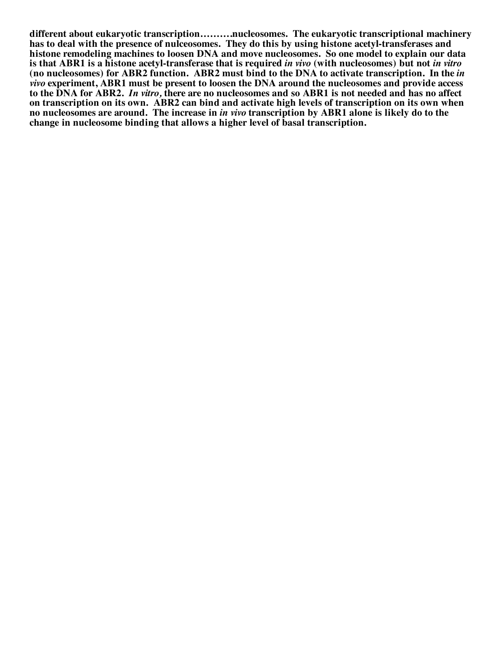**different about eukaryotic transcription……….nucleosomes. The eukaryotic transcriptional machinery has to deal with the presence of nulceosomes. They do this by using histone acetyl-transferases and histone remodeling machines to loosen DNA and move nucleosomes. So one model to explain our data is that ABR1 is a histone acetyl-transferase that is required** *in vivo* **(with nucleosomes) but not** *in vitro* **(no nucleosomes) for ABR2 function. ABR2 must bind to the DNA to activate transcription. In the** *in vivo* **experiment, ABR1 must be present to loosen the DNA around the nucleosomes and provide access to the DNA for ABR2.** *In vitro,* **there are no nucleosomes and so ABR1 is not needed and has no affect on transcription on its own. ABR2 can bind and activate high levels of transcription on its own when no nucleosomes are around. The increase in** *in vivo* **transcription by ABR1 alone is likely do to the change in nucleosome binding that allows a higher level of basal transcription.**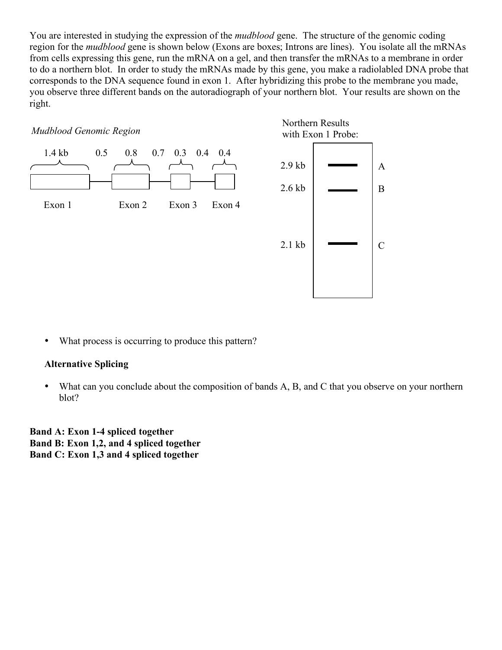You are interested in studying the expression of the *mudblood* gene. The structure of the genomic coding region for the *mudblood* gene is shown below (Exons are boxes; Introns are lines). You isolate all the mRNAs from cells expressing this gene, run the mRNA on a gel, and then transfer the mRNAs to a membrane in order to do a northern blot. In order to study the mRNAs made by this gene, you make a radiolabled DNA probe that corresponds to the DNA sequence found in exon 1. After hybridizing this probe to the membrane you made, you observe three different bands on the autoradiograph of your northern blot. Your results are shown on the right.



• What process is occurring to produce this pattern?

## **Alternative Splicing**

• What can you conclude about the composition of bands A, B, and C that you observe on your northern blot?

**Band A: Exon 1-4 spliced together Band B: Exon 1,2, and 4 spliced together Band C: Exon 1,3 and 4 spliced together**